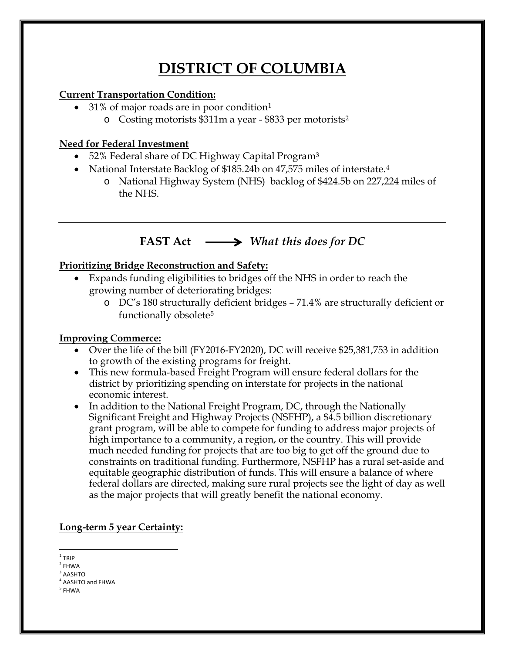# **DISTRICT OF COLUMBIA**

#### **Current Transportation Condition:**

- 3[1](#page-0-0)% of major roads are in poor condition<sup>1</sup>
	- o Costing motorists \$311m a year \$833 per motorists[2](#page-0-1)

### **Need for Federal Investment**

- 52% Federal share of DC Highway Capital Program<sup>[3](#page-0-2)</sup>
- National Interstate Backlog of \$185.2[4](#page-0-3)b on 47,575 miles of interstate.<sup>4</sup>
	- o National Highway System (NHS) backlog of \$424.5b on 227,224 miles of the NHS.

# **FAST Act** *What this does for DC*

### **Prioritizing Bridge Reconstruction and Safety:**

- Expands funding eligibilities to bridges off the NHS in order to reach the growing number of deteriorating bridges:
	- o DC's 180 structurally deficient bridges 71.4% are structurally deficient or functionally obsolete[5](#page-0-4)

## **Improving Commerce:**

- Over the life of the bill (FY2016-FY2020), DC will receive \$25,381,753 in addition to growth of the existing programs for freight.
- This new formula-based Freight Program will ensure federal dollars for the district by prioritizing spending on interstate for projects in the national economic interest.
- In addition to the National Freight Program, DC, through the Nationally Significant Freight and Highway Projects (NSFHP), a \$4.5 billion discretionary grant program, will be able to compete for funding to address major projects of high importance to a community, a region, or the country. This will provide much needed funding for projects that are too big to get off the ground due to constraints on traditional funding. Furthermore, NSFHP has a rural set-aside and equitable geographic distribution of funds. This will ensure a balance of where federal dollars are directed, making sure rural projects see the light of day as well as the major projects that will greatly benefit the national economy.

### **Long-term 5 year Certainty:**

 $1$  TRIP

<span id="page-0-1"></span><span id="page-0-0"></span> $2$  FHWA

 $3$  AASHTO

<span id="page-0-3"></span><span id="page-0-2"></span><sup>4</sup> AASHTO and FHWA

<span id="page-0-4"></span><sup>5</sup> FHWA